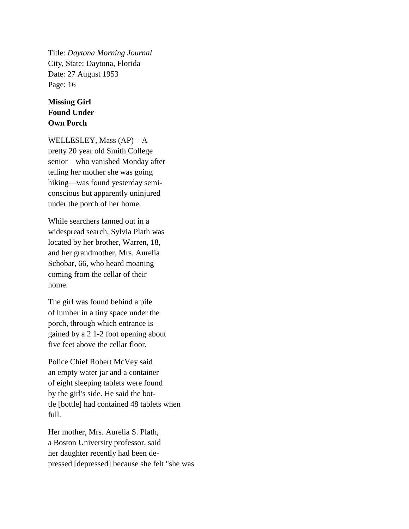Title: *Daytona Morning Journal* City, State: Daytona, Florida Date: 27 August 1953 Page: 16

## **Missing Girl Found Under Own Porch**

WELLESLEY, Mass (AP) – A pretty 20 year old Smith College senior—who vanished Monday after telling her mother she was going hiking—was found yesterday semiconscious but apparently uninjured under the porch of her home.

While searchers fanned out in a widespread search, Sylvia Plath was located by her brother, Warren, 18, and her grandmother, Mrs. Aurelia Schobar, 66, who heard moaning coming from the cellar of their home.

The girl was found behind a pile of lumber in a tiny space under the porch, through which entrance is gained by a 2 1-2 foot opening about five feet above the cellar floor.

Police Chief Robert McVey said an empty water jar and a container of eight sleeping tablets were found by the girl's side. He said the bottle [bottle] had contained 48 tablets when full.

Her mother, Mrs. Aurelia S. Plath, a Boston University professor, said her daughter recently had been depressed [depressed] because she felt "she was